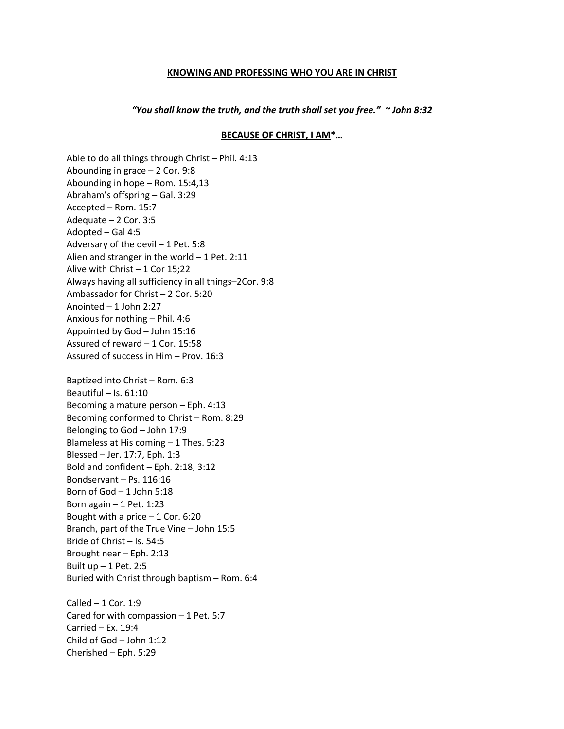## **KNOWING AND PROFESSING WHO YOU ARE IN CHRIST**

*"You shall know the truth, and the truth shall set you free." ~ John 8:32*

## **BECAUSE OF CHRIST, I AM\*…**

Able to do all things through Christ – Phil. 4:13 Abounding in grace – 2 Cor. 9:8 Abounding in hope – Rom. 15:4,13 Abraham's offspring – Gal. 3:29 Accepted – Rom. 15:7 Adequate – 2 Cor. 3:5 Adopted – Gal 4:5 Adversary of the devil – 1 Pet. 5:8 Alien and stranger in the world – 1 Pet. 2:11 Alive with Christ  $-1$  Cor 15;22 Always having all sufficiency in all things–2Cor. 9:8 Ambassador for Christ – 2 Cor. 5:20 Anointed – 1 John 2:27 Anxious for nothing – Phil. 4:6 Appointed by God – John 15:16 Assured of reward – 1 Cor. 15:58 Assured of success in Him – Prov. 16:3 Baptized into Christ – Rom. 6:3 Beautiful – Is. 61:10 Becoming a mature person – Eph. 4:13 Becoming conformed to Christ – Rom. 8:29 Belonging to God – John 17:9 Blameless at His coming – 1 Thes. 5:23 Blessed – Jer. 17:7, Eph. 1:3 Bold and confident – Eph. 2:18, 3:12 Bondservant – Ps. 116:16 Born of God – 1 John 5:18 Born again  $-1$  Pet. 1:23 Bought with a price  $-1$  Cor. 6:20 Branch, part of the True Vine – John 15:5 Bride of Christ – Is. 54:5 Brought near – Eph. 2:13 Built up – 1 Pet. 2:5 Buried with Christ through baptism – Rom. 6:4 Called  $-1$  Cor. 1:9 Cared for with compassion  $-1$  Pet. 5:7 Carried – Ex. 19:4 Child of God – John 1:12 Cherished – Eph. 5:29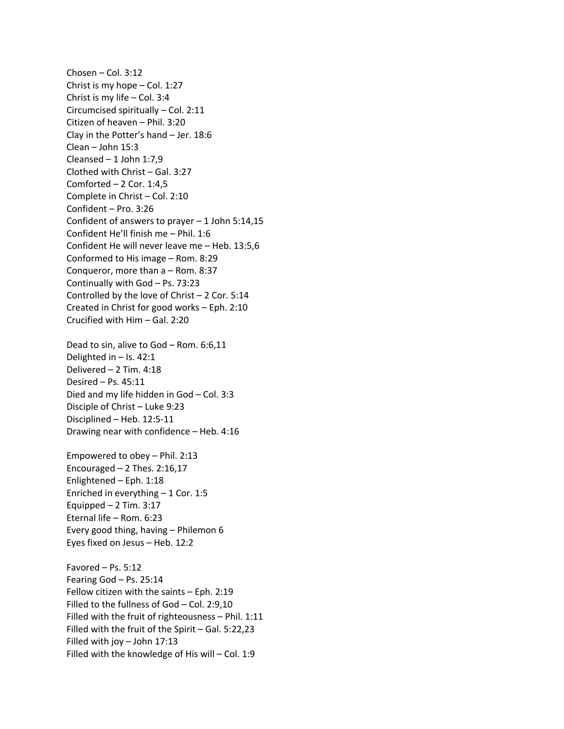Chosen – Col. 3:12 Christ is my hope – Col. 1:27 Christ is my life – Col. 3:4 Circumcised spiritually – Col. 2:11 Citizen of heaven – Phil. 3:20 Clay in the Potter's hand – Jer. 18:6 Clean – John 15:3 Cleansed – 1 John 1:7,9 Clothed with Christ – Gal. 3:27 Comforted  $-2$  Cor. 1:4,5 Complete in Christ – Col. 2:10 Confident – Pro. 3:26 Confident of answers to prayer – 1 John 5:14,15 Confident He'll finish me – Phil. 1:6 Confident He will never leave me – Heb. 13:5,6 Conformed to His image – Rom. 8:29 Conqueror, more than a – Rom. 8:37 Continually with God – Ps. 73:23 Controlled by the love of Christ – 2 Cor. 5:14 Created in Christ for good works – Eph. 2:10 Crucified with Him – Gal. 2:20

Dead to sin, alive to God – Rom. 6:6,11 Delighted in  $-$  Is. 42:1 Delivered – 2 Tim. 4:18 Desired – Ps. 45:11 Died and my life hidden in God – Col. 3:3 Disciple of Christ – Luke 9:23 Disciplined – Heb. 12:5-11 Drawing near with confidence – Heb. 4:16

Empowered to obey – Phil. 2:13 Encouraged  $-2$  Thes. 2:16,17 Enlightened – Eph. 1:18 Enriched in everything – 1 Cor. 1:5 Equipped  $-2$  Tim. 3:17 Eternal life – Rom. 6:23 Every good thing, having – Philemon 6 Eyes fixed on Jesus – Heb. 12:2

Favored – Ps. 5:12 Fearing God – Ps. 25:14 Fellow citizen with the saints – Eph. 2:19 Filled to the fullness of God – Col. 2:9,10 Filled with the fruit of righteousness – Phil. 1:11 Filled with the fruit of the Spirit – Gal. 5:22,23 Filled with joy – John 17:13 Filled with the knowledge of His will – Col. 1:9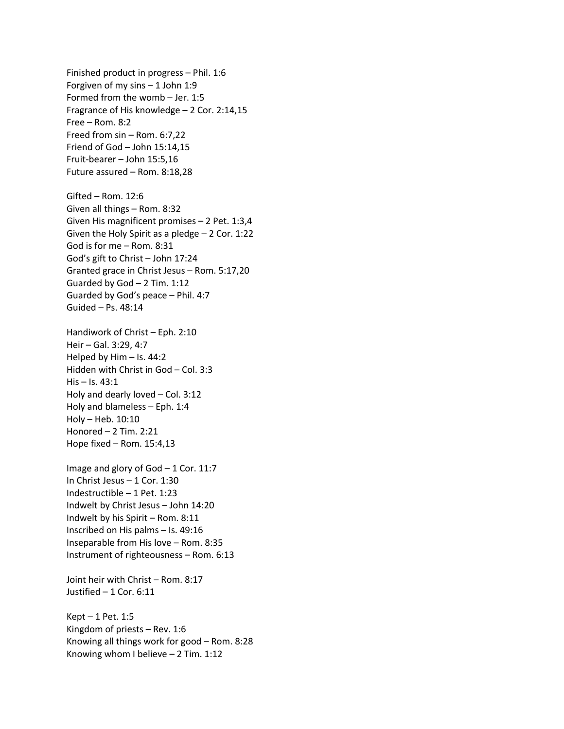Finished product in progress – Phil. 1:6 Forgiven of my sins – 1 John 1:9 Formed from the womb – Jer. 1:5 Fragrance of His knowledge – 2 Cor. 2:14,15 Free – Rom. 8:2 Freed from sin – Rom. 6:7,22 Friend of God – John 15:14,15 Fruit-bearer – John 15:5,16 Future assured – Rom. 8:18,28 Gifted – Rom. 12:6 Given all things – Rom. 8:32 Given His magnificent promises – 2 Pet. 1:3,4 Given the Holy Spirit as a pledge – 2 Cor. 1:22 God is for me – Rom. 8:31 God's gift to Christ – John 17:24 Granted grace in Christ Jesus – Rom. 5:17,20 Guarded by God – 2 Tim. 1:12 Guarded by God's peace – Phil. 4:7 Guided – Ps. 48:14 Handiwork of Christ – Eph. 2:10 Heir – Gal. 3:29, 4:7 Helped by Him – Is. 44:2 Hidden with Christ in God – Col. 3:3 His – Is. 43:1 Holy and dearly loved – Col. 3:12 Holy and blameless – Eph. 1:4 Holy – Heb. 10:10 Honored – 2 Tim. 2:21 Hope fixed – Rom. 15:4,13

Image and glory of God – 1 Cor. 11:7 In Christ Jesus – 1 Cor. 1:30 Indestructible – 1 Pet. 1:23 Indwelt by Christ Jesus – John 14:20 Indwelt by his Spirit – Rom. 8:11 Inscribed on His palms – Is. 49:16 Inseparable from His love – Rom. 8:35 Instrument of righteousness – Rom. 6:13

Joint heir with Christ – Rom. 8:17 Justified – 1 Cor. 6:11

Kept – 1 Pet. 1:5 Kingdom of priests – Rev. 1:6 Knowing all things work for good – Rom. 8:28 Knowing whom I believe – 2 Tim. 1:12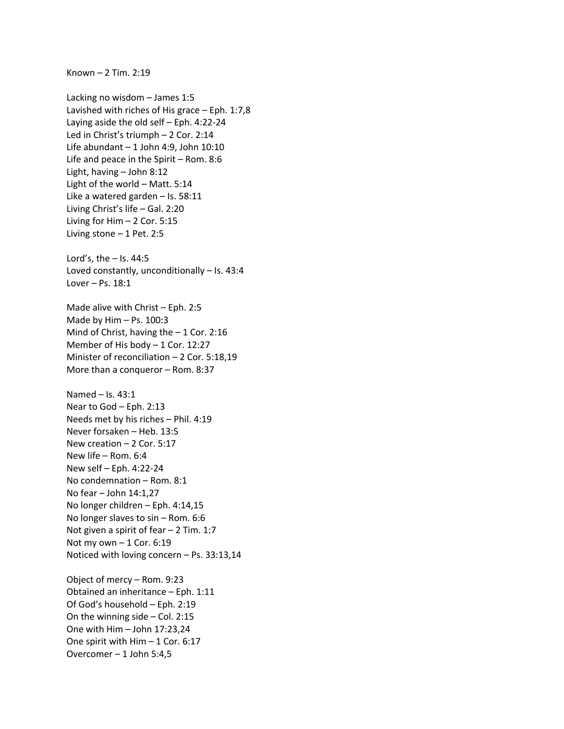Known – 2 Tim. 2:19

Lacking no wisdom – James 1:5 Lavished with riches of His grace – Eph. 1:7,8 Laying aside the old self – Eph. 4:22-24 Led in Christ's triumph – 2 Cor. 2:14 Life abundant – 1 John 4:9, John 10:10 Life and peace in the Spirit – Rom. 8:6 Light, having – John 8:12 Light of the world – Matt. 5:14 Like a watered garden – Is. 58:11 Living Christ's life – Gal. 2:20 Living for Him – 2 Cor. 5:15 Living stone – 1 Pet. 2:5 Lord's, the – Is. 44:5 Loved constantly, unconditionally – Is. 43:4 Lover – Ps. 18:1 Made alive with Christ – Eph. 2:5 Made by Him – Ps. 100:3 Mind of Christ, having the  $-1$  Cor. 2:16 Member of His body – 1 Cor. 12:27 Minister of reconciliation – 2 Cor. 5:18,19 More than a conqueror – Rom. 8:37 Named – Is. 43:1 Near to God – Eph. 2:13 Needs met by his riches – Phil. 4:19 Never forsaken – Heb. 13:5 New creation – 2 Cor. 5:17 New life – Rom. 6:4 New self – Eph. 4:22-24 No condemnation – Rom. 8:1 No fear – John 14:1,27 No longer children – Eph. 4:14,15 No longer slaves to sin – Rom. 6:6 Not given a spirit of fear – 2 Tim. 1:7 Not my own  $-1$  Cor. 6:19 Noticed with loving concern – Ps. 33:13,14 Object of mercy – Rom. 9:23 Obtained an inheritance – Eph. 1:11 Of God's household – Eph. 2:19 On the winning side – Col. 2:15 One with Him – John 17:23,24 One spirit with Him – 1 Cor. 6:17

Overcomer – 1 John 5:4,5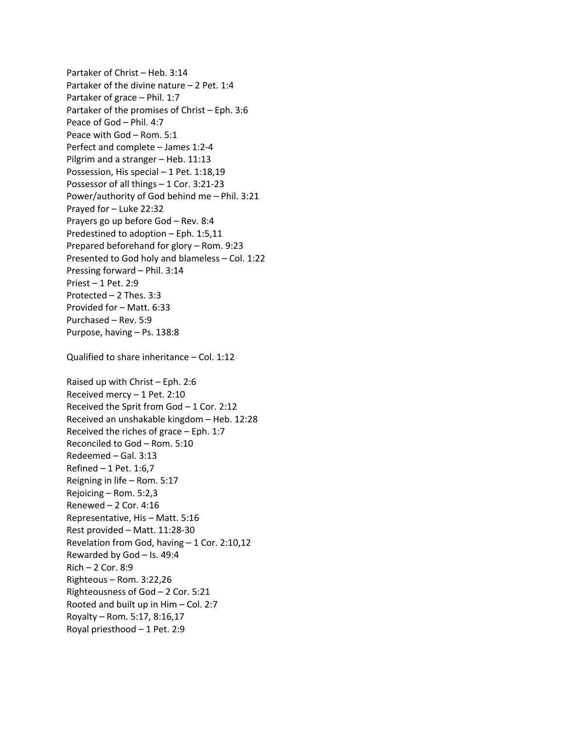Partaker of Christ – Heb. 3:14 Partaker of the divine nature – 2 Pet. 1:4 Partaker of grace – Phil. 1:7 Partaker of the promises of Christ – Eph. 3:6 Peace of God – Phil. 4:7 Peace with God – Rom. 5:1 Perfect and complete – James 1:2-4 Pilgrim and a stranger – Heb. 11:13 Possession, His special – 1 Pet. 1:18,19 Possessor of all things – 1 Cor. 3:21-23 Power/authority of God behind me – Phil. 3:21 Prayed for – Luke 22:32 Prayers go up before God – Rev. 8:4 Predestined to adoption – Eph. 1:5,11 Prepared beforehand for glory – Rom. 9:23 Presented to God holy and blameless – Col. 1:22 Pressing forward – Phil. 3:14 Priest – 1 Pet. 2:9 Protected – 2 Thes. 3:3 Provided for – Matt. 6:33 Purchased – Rev. 5:9 Purpose, having – Ps. 138:8 Qualified to share inheritance – Col. 1:12 Raised up with Christ – Eph. 2:6 Received mercy – 1 Pet. 2:10 Received the Sprit from God – 1 Cor. 2:12 Received an unshakable kingdom – Heb. 12:28 Received the riches of grace – Eph. 1:7 Reconciled to God – Rom. 5:10 Redeemed – Gal. 3:13 Refined – 1 Pet. 1:6,7 Reigning in life – Rom. 5:17 Rejoicing – Rom. 5:2,3 Renewed – 2 Cor. 4:16 Representative, His – Matt. 5:16 Rest provided – Matt. 11:28-30 Revelation from God, having – 1 Cor. 2:10,12 Rewarded by God – Is. 49:4 Rich – 2 Cor. 8:9 Righteous – Rom. 3:22,26 Righteousness of God – 2 Cor. 5:21 Rooted and built up in Him – Col. 2:7 Royalty – Rom. 5:17, 8:16,17 Royal priesthood – 1 Pet. 2:9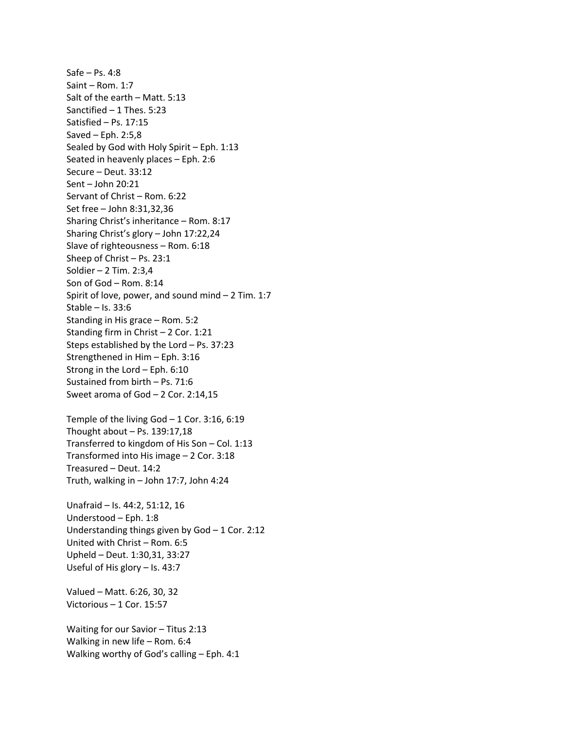Safe – Ps. 4:8 Saint – Rom. 1:7 Salt of the earth – Matt. 5:13 Sanctified – 1 Thes. 5:23 Satisfied – Ps. 17:15 Saved – Eph. 2:5,8 Sealed by God with Holy Spirit – Eph. 1:13 Seated in heavenly places – Eph. 2:6 Secure – Deut. 33:12 Sent – John 20:21 Servant of Christ – Rom. 6:22 Set free – John 8:31,32,36 Sharing Christ's inheritance – Rom. 8:17 Sharing Christ's glory – John 17:22,24 Slave of righteousness – Rom. 6:18 Sheep of Christ – Ps. 23:1 Soldier – 2 Tim. 2:3,4 Son of God – Rom. 8:14 Spirit of love, power, and sound mind – 2 Tim. 1:7 Stable – Is. 33:6 Standing in His grace – Rom. 5:2 Standing firm in Christ – 2 Cor. 1:21 Steps established by the Lord – Ps. 37:23 Strengthened in Him – Eph. 3:16 Strong in the Lord – Eph. 6:10 Sustained from birth – Ps. 71:6 Sweet aroma of God – 2 Cor. 2:14,15 Temple of the living God – 1 Cor. 3:16, 6:19 Thought about  $-$  Ps. 139:17,18 Transferred to kingdom of His Son – Col. 1:13 Transformed into His image – 2 Cor. 3:18 Treasured – Deut. 14:2 Truth, walking in – John 17:7, John 4:24 Unafraid – Is. 44:2, 51:12, 16 Understood – Eph. 1:8 Understanding things given by God – 1 Cor. 2:12 United with Christ – Rom. 6:5 Upheld – Deut. 1:30,31, 33:27 Useful of His glory – Is. 43:7 Valued – Matt. 6:26, 30, 32 Victorious – 1 Cor. 15:57 Waiting for our Savior – Titus 2:13 Walking in new life – Rom. 6:4 Walking worthy of God's calling – Eph. 4:1